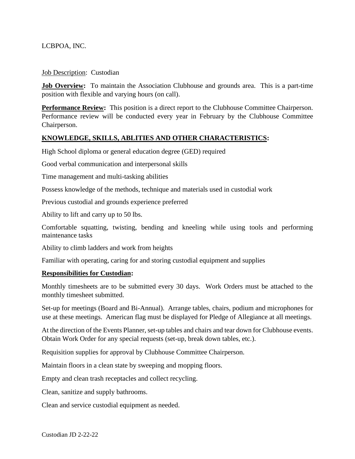LCBPOA, INC.

## Job Description: Custodian

**Job Overview:** To maintain the Association Clubhouse and grounds area. This is a part-time position with flexible and varying hours (on call).

**Performance Review:** This position is a direct report to the Clubhouse Committee Chairperson. Performance review will be conducted every year in February by the Clubhouse Committee Chairperson.

## **KNOWLEDGE, SKILLS, ABLITIES AND OTHER CHARACTERISTICS:**

High School diploma or general education degree (GED) required

Good verbal communication and interpersonal skills

Time management and multi-tasking abilities

Possess knowledge of the methods, technique and materials used in custodial work

Previous custodial and grounds experience preferred

Ability to lift and carry up to 50 lbs.

Comfortable squatting, twisting, bending and kneeling while using tools and performing maintenance tasks

Ability to climb ladders and work from heights

Familiar with operating, caring for and storing custodial equipment and supplies

## **Responsibilities for Custodian:**

Monthly timesheets are to be submitted every 30 days. Work Orders must be attached to the monthly timesheet submitted.

Set-up for meetings (Board and Bi-Annual). Arrange tables, chairs, podium and microphones for use at these meetings. American flag must be displayed for Pledge of Allegiance at all meetings.

At the direction of the Events Planner, set-up tables and chairs and tear down for Clubhouse events. Obtain Work Order for any special requests (set-up, break down tables, etc.).

Requisition supplies for approval by Clubhouse Committee Chairperson.

Maintain floors in a clean state by sweeping and mopping floors.

Empty and clean trash receptacles and collect recycling.

Clean, sanitize and supply bathrooms.

Clean and service custodial equipment as needed.